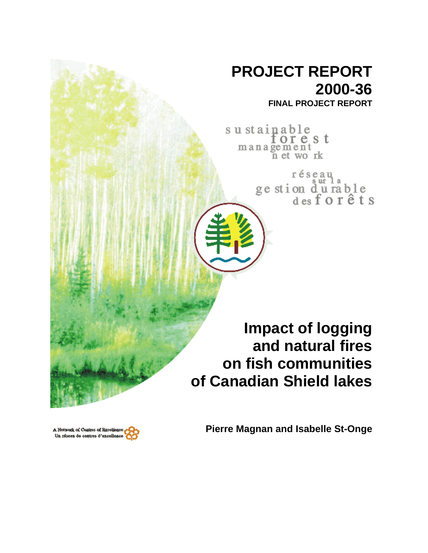# **PROJECT REPORT 2000-36**

**FINAL PROJECT REPORT**

su stainable<br>for  $e$  s t management<br>n et work

réseau<br>ge stion d'u rable<br>des forêts

**Impact of logging and natural fires on fish communities of Canadian Shield lakes**

A Notwork of Contres of Breels Un réseau de contres d'excellence **Pierre Magnan and Isabelle St-Onge**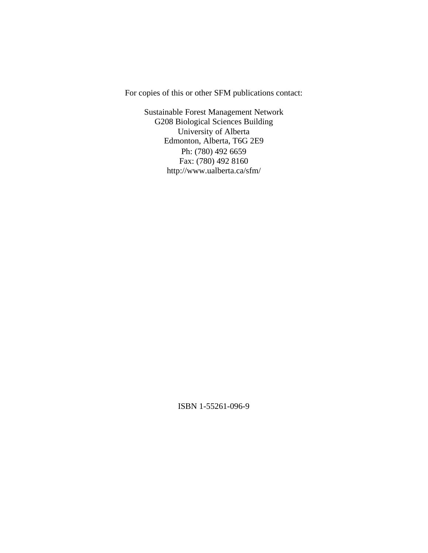For copies of this or other SFM publications contact:

Sustainable Forest Management Network G208 Biological Sciences Building University of Alberta Edmonton, Alberta, T6G 2E9 Ph: (780) 492 6659 Fax: (780) 492 8160 http://www.ualberta.ca/sfm/

ISBN 1-55261-096-9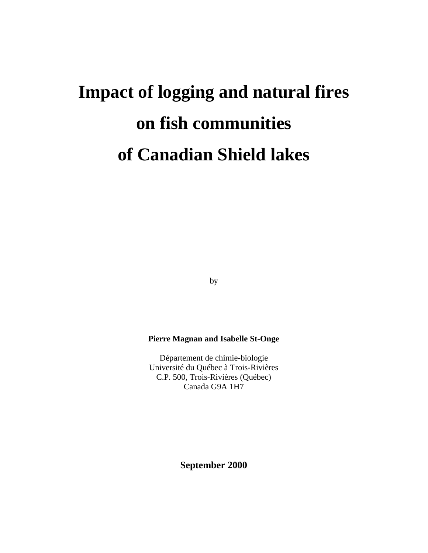# **Impact of logging and natural fires on fish communities of Canadian Shield lakes**

by

# **Pierre Magnan and Isabelle St-Onge**

Département de chimie-biologie Université du Québec à Trois-Rivières C.P. 500, Trois-Rivières (Québec) Canada G9A 1H7

**September 2000**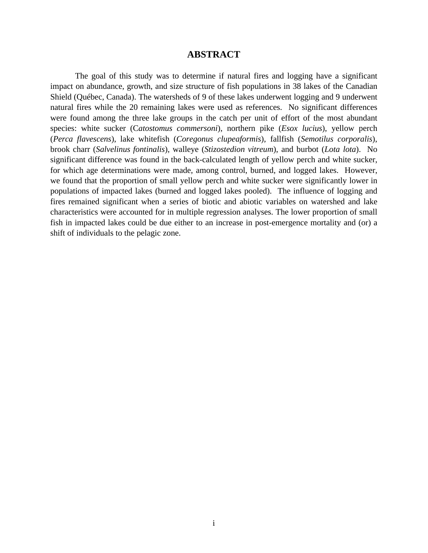# **ABSTRACT**

The goal of this study was to determine if natural fires and logging have a significant impact on abundance, growth, and size structure of fish populations in 38 lakes of the Canadian Shield (Québec, Canada). The watersheds of 9 of these lakes underwent logging and 9 underwent natural fires while the 20 remaining lakes were used as references. No significant differences were found among the three lake groups in the catch per unit of effort of the most abundant species: white sucker (C*atostomus commersoni*), northern pike (*Esox lucius*), yellow perch (*Perca flavescens*), lake whitefish (*Coregonus clupeaformis*), fallfish (*Semotilus corporalis*), brook charr (*Salvelinus fontinalis*), walleye (*Stizostedion vitreum*), and burbot (*Lota lota*). No significant difference was found in the back-calculated length of yellow perch and white sucker, for which age determinations were made, among control, burned, and logged lakes. However, we found that the proportion of small yellow perch and white sucker were significantly lower in populations of impacted lakes (burned and logged lakes pooled). The influence of logging and fires remained significant when a series of biotic and abiotic variables on watershed and lake characteristics were accounted for in multiple regression analyses. The lower proportion of small fish in impacted lakes could be due either to an increase in post-emergence mortality and (or) a shift of individuals to the pelagic zone.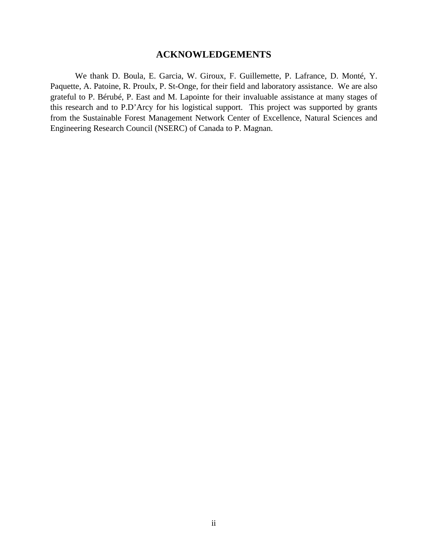# **ACKNOWLEDGEMENTS**

We thank D. Boula, E. Garcia, W. Giroux, F. Guillemette, P. Lafrance, D. Monté, Y. Paquette, A. Patoine, R. Proulx, P. St-Onge, for their field and laboratory assistance. We are also grateful to P. Bérubé, P. East and M. Lapointe for their invaluable assistance at many stages of this research and to P.D'Arcy for his logistical support. This project was supported by grants from the Sustainable Forest Management Network Center of Excellence, Natural Sciences and Engineering Research Council (NSERC) of Canada to P. Magnan.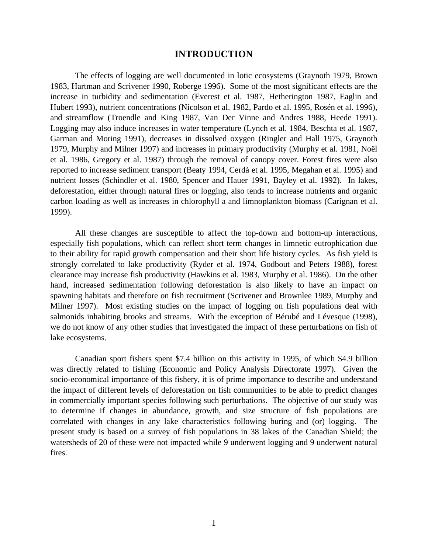# **INTRODUCTION**

The effects of logging are well documented in lotic ecosystems (Graynoth 1979, Brown 1983, Hartman and Scrivener 1990, Roberge 1996). Some of the most significant effects are the increase in turbidity and sedimentation (Everest et al. 1987, Hetherington 1987, Eaglin and Hubert 1993), nutrient concentrations (Nicolson et al. 1982, Pardo et al. 1995, Rosén et al. 1996), and streamflow (Troendle and King 1987, Van Der Vinne and Andres 1988, Heede 1991). Logging may also induce increases in water temperature (Lynch et al. 1984, Beschta et al. 1987, Garman and Moring 1991), decreases in dissolved oxygen (Ringler and Hall 1975, Graynoth 1979, Murphy and Milner 1997) and increases in primary productivity (Murphy et al. 1981, Noël et al. 1986, Gregory et al. 1987) through the removal of canopy cover. Forest fires were also reported to increase sediment transport (Beaty 1994, Cerdà et al. 1995, Megahan et al. 1995) and nutrient losses (Schindler et al. 1980, Spencer and Hauer 1991, Bayley et al. 1992). In lakes, deforestation, either through natural fires or logging, also tends to increase nutrients and organic carbon loading as well as increases in chlorophyll a and limnoplankton biomass (Carignan et al. 1999).

All these changes are susceptible to affect the top-down and bottom-up interactions, especially fish populations, which can reflect short term changes in limnetic eutrophication due to their ability for rapid growth compensation and their short life history cycles. As fish yield is strongly correlated to lake productivity (Ryder et al. 1974, Godbout and Peters 1988), forest clearance may increase fish productivity (Hawkins et al. 1983, Murphy et al. 1986). On the other hand, increased sedimentation following deforestation is also likely to have an impact on spawning habitats and therefore on fish recruitment (Scrivener and Brownlee 1989, Murphy and Milner 1997). Most existing studies on the impact of logging on fish populations deal with salmonids inhabiting brooks and streams. With the exception of Bérubé and Lévesque (1998), we do not know of any other studies that investigated the impact of these perturbations on fish of lake ecosystems.

Canadian sport fishers spent \$7.4 billion on this activity in 1995, of which \$4.9 billion was directly related to fishing (Economic and Policy Analysis Directorate 1997). Given the socio-economical importance of this fishery, it is of prime importance to describe and understand the impact of different levels of deforestation on fish communities to be able to predict changes in commercially important species following such perturbations. The objective of our study was to determine if changes in abundance, growth, and size structure of fish populations are correlated with changes in any lake characteristics following buring and (or) logging. The present study is based on a survey of fish populations in 38 lakes of the Canadian Shield; the watersheds of 20 of these were not impacted while 9 underwent logging and 9 underwent natural fires.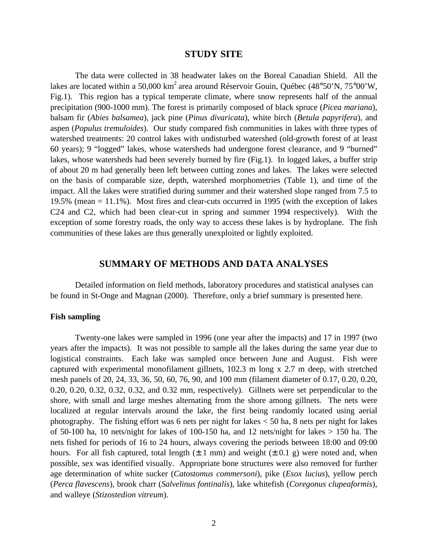# **STUDY SITE**

The data were collected in 38 headwater lakes on the Boreal Canadian Shield. All the lakes are located within a 50,000 km<sup>2</sup> area around Réservoir Gouin, Québec (48°50'N, 75°00'W, Fig.1). This region has a typical temperate climate, where snow represents half of the annual precipitation (900-1000 mm). The forest is primarily composed of black spruce (*Picea mariana*), balsam fir (*Abies balsamea*), jack pine (*Pinus divaricata*), white birch (*Betula papyrifera*), and aspen (*Populus tremuloides*). Our study compared fish communities in lakes with three types of watershed treatments: 20 control lakes with undisturbed watershed (old-growth forest of at least 60 years); 9 "logged" lakes, whose watersheds had undergone forest clearance, and 9 "burned" lakes, whose watersheds had been severely burned by fire (Fig.1). In logged lakes, a buffer strip of about 20 m had generally been left between cutting zones and lakes. The lakes were selected on the basis of comparable size, depth, watershed morphometries (Table 1), and time of the impact. All the lakes were stratified during summer and their watershed slope ranged from 7.5 to 19.5% (mean = 11.1%). Most fires and clear-cuts occurred in 1995 (with the exception of lakes C24 and C2, which had been clear-cut in spring and summer 1994 respectively). With the exception of some forestry roads, the only way to access these lakes is by hydroplane. The fish communities of these lakes are thus generally unexploited or lightly exploited.

# **SUMMARY OF METHODS AND DATA ANALYSES**

Detailed information on field methods, laboratory procedures and statistical analyses can be found in St-Onge and Magnan (2000). Therefore, only a brief summary is presented here.

# **Fish sampling**

Twenty-one lakes were sampled in 1996 (one year after the impacts) and 17 in 1997 (two years after the impacts). It was not possible to sample all the lakes during the same year due to logistical constraints. Each lake was sampled once between June and August. Fish were captured with experimental monofilament gillnets, 102.3 m long x 2.7 m deep, with stretched mesh panels of 20, 24, 33, 36, 50, 60, 76, 90, and 100 mm (filament diameter of 0.17, 0.20, 0.20, 0.20, 0.20, 0.32, 0.32, 0.32, and 0.32 mm, respectively). Gillnets were set perpendicular to the shore, with small and large meshes alternating from the shore among gillnets. The nets were localized at regular intervals around the lake, the first being randomly located using aerial photography. The fishing effort was 6 nets per night for lakes  $<$  50 ha, 8 nets per night for lakes of 50-100 ha, 10 nets/night for lakes of 100-150 ha, and 12 nets/night for lakes > 150 ha. The nets fished for periods of 16 to 24 hours, always covering the periods between 18:00 and 09:00 hours. For all fish captured, total length  $(\pm 1 \text{ mm})$  and weight  $(\pm 0.1 \text{ g})$  were noted and, when possible, sex was identified visually. Appropriate bone structures were also removed for further age determination of white sucker (*Catostomus commersoni*), pike (*Esox lucius*), yellow perch (*Perca flavescens*), brook charr (*Salvelinus fontinalis*), lake whitefish (*Coregonus clupeaformis*), and walleye (*Stizostedion vitreum*).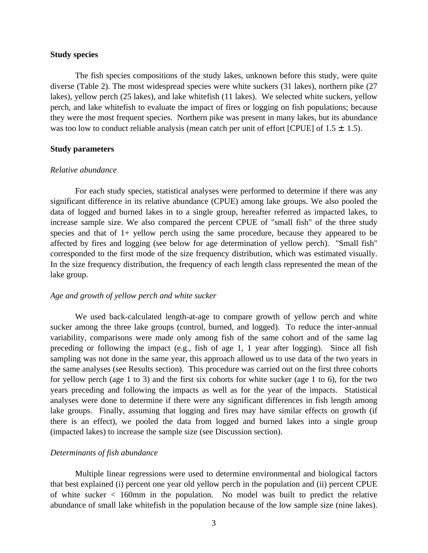#### **Study species**

The fish species compositions of the study lakes, unknown before this study, were quite diverse (Table 2). The most widespread species were white suckers (31 lakes), northern pike (27 lakes), yellow perch (25 lakes), and lake whitefish (11 lakes). We selected white suckers, yellow perch, and lake whitefish to evaluate the impact of fires or logging on fish populations; because they were the most frequent species. Northern pike was present in many lakes, but its abundance was too low to conduct reliable analysis (mean catch per unit of effort [CPUE] of  $1.5 \pm 1.5$ ).

## **Study parameters**

#### *Relative abundance*

For each study species, statistical analyses were performed to determine if there was any significant difference in its relative abundance (CPUE) among lake groups. We also pooled the data of logged and burned lakes in to a single group, hereafter referred as impacted lakes, to increase sample size. We also compared the percent CPUE of "small fish" of the three study species and that of 1+ yellow perch using the same procedure, because they appeared to be affected by fires and logging (see below for age determination of yellow perch). "Small fish" corresponded to the first mode of the size frequency distribution, which was estimated visually. In the size frequency distribution, the frequency of each length class represented the mean of the lake group.

#### *Age and growth of yellow perch and white sucker*

We used back-calculated length-at-age to compare growth of yellow perch and white sucker among the three lake groups (control, burned, and logged). To reduce the inter-annual variability, comparisons were made only among fish of the same cohort and of the same lag preceding or following the impact (e.g., fish of age 1, 1 year after logging). Since all fish sampling was not done in the same year, this approach allowed us to use data of the two years in the same analyses (see Results section). This procedure was carried out on the first three cohorts for yellow perch (age 1 to 3) and the first six cohorts for white sucker (age 1 to 6), for the two years preceding and following the impacts as well as for the year of the impacts. Statistical analyses were done to determine if there were any significant differences in fish length among lake groups. Finally, assuming that logging and fires may have similar effects on growth (if there is an effect), we pooled the data from logged and burned lakes into a single group (impacted lakes) to increase the sample size (see Discussion section).

#### *Determinants of fish abundance*

Multiple linear regressions were used to determine environmental and biological factors that best explained (i) percent one year old yellow perch in the population and (ii) percent CPUE of white sucker < 160mm in the population. No model was built to predict the relative abundance of small lake whitefish in the population because of the low sample size (nine lakes).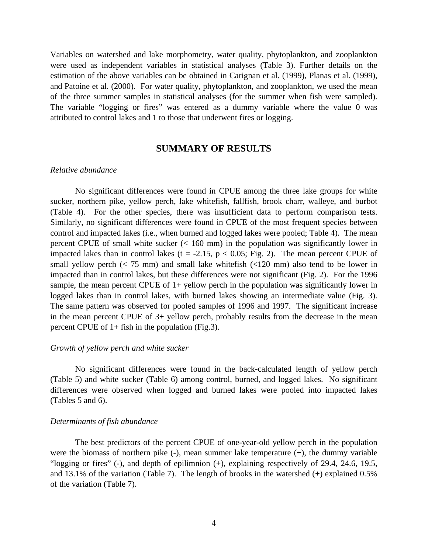Variables on watershed and lake morphometry, water quality, phytoplankton, and zooplankton were used as independent variables in statistical analyses (Table 3). Further details on the estimation of the above variables can be obtained in Carignan et al. (1999), Planas et al. (1999), and Patoine et al. (2000). For water quality, phytoplankton, and zooplankton, we used the mean of the three summer samples in statistical analyses (for the summer when fish were sampled). The variable "logging or fires" was entered as a dummy variable where the value 0 was attributed to control lakes and 1 to those that underwent fires or logging.

# **SUMMARY OF RESULTS**

#### *Relative abundance*

No significant differences were found in CPUE among the three lake groups for white sucker, northern pike, yellow perch, lake whitefish, fallfish, brook charr, walleye, and burbot (Table 4). For the other species, there was insufficient data to perform comparison tests. Similarly, no significant differences were found in CPUE of the most frequent species between control and impacted lakes (i.e., when burned and logged lakes were pooled; Table 4). The mean percent CPUE of small white sucker (< 160 mm) in the population was significantly lower in impacted lakes than in control lakes (t = -2.15,  $p < 0.05$ ; Fig. 2). The mean percent CPUE of small yellow perch ( $\lt$  75 mm) and small lake white fish ( $\lt$ 120 mm) also tend to be lower in impacted than in control lakes, but these differences were not significant (Fig. 2). For the 1996 sample, the mean percent CPUE of 1+ yellow perch in the population was significantly lower in logged lakes than in control lakes, with burned lakes showing an intermediate value (Fig. 3). The same pattern was observed for pooled samples of 1996 and 1997. The significant increase in the mean percent CPUE of 3+ yellow perch, probably results from the decrease in the mean percent CPUE of 1+ fish in the population (Fig.3).

#### *Growth of yellow perch and white sucker*

No significant differences were found in the back-calculated length of yellow perch (Table 5) and white sucker (Table 6) among control, burned, and logged lakes. No significant differences were observed when logged and burned lakes were pooled into impacted lakes (Tables 5 and 6).

#### *Determinants of fish abundance*

The best predictors of the percent CPUE of one-year-old yellow perch in the population were the biomass of northern pike (-), mean summer lake temperature (+), the dummy variable "logging or fires" (-), and depth of epilimnion (+), explaining respectively of 29.4, 24.6, 19.5, and 13.1% of the variation (Table 7). The length of brooks in the watershed  $(+)$  explained 0.5% of the variation (Table 7).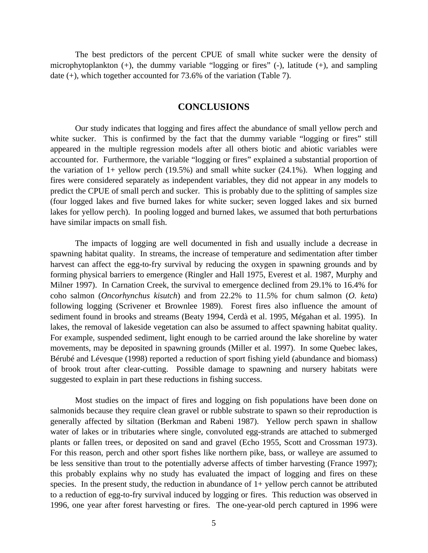The best predictors of the percent CPUE of small white sucker were the density of microphytoplankton  $(+)$ , the dummy variable "logging or fires"  $(-)$ , latitude  $(+)$ , and sampling date (+), which together accounted for 73.6% of the variation (Table 7).

# **CONCLUSIONS**

Our study indicates that logging and fires affect the abundance of small yellow perch and white sucker. This is confirmed by the fact that the dummy variable "logging or fires" still appeared in the multiple regression models after all others biotic and abiotic variables were accounted for. Furthermore, the variable "logging or fires" explained a substantial proportion of the variation of  $1+$  yellow perch (19.5%) and small white sucker (24.1%). When logging and fires were considered separately as independent variables, they did not appear in any models to predict the CPUE of small perch and sucker. This is probably due to the splitting of samples size (four logged lakes and five burned lakes for white sucker; seven logged lakes and six burned lakes for yellow perch). In pooling logged and burned lakes, we assumed that both perturbations have similar impacts on small fish.

The impacts of logging are well documented in fish and usually include a decrease in spawning habitat quality. In streams, the increase of temperature and sedimentation after timber harvest can affect the egg-to-fry survival by reducing the oxygen in spawning grounds and by forming physical barriers to emergence (Ringler and Hall 1975, Everest et al. 1987, Murphy and Milner 1997). In Carnation Creek, the survival to emergence declined from 29.1% to 16.4% for coho salmon (*Oncorhynchus kisutch*) and from 22.2% to 11.5% for chum salmon (*O. keta*) following logging (Scrivener et Brownlee 1989). Forest fires also influence the amount of sediment found in brooks and streams (Beaty 1994, Cerdà et al. 1995, Mégahan et al. 1995). In lakes, the removal of lakeside vegetation can also be assumed to affect spawning habitat quality. For example, suspended sediment, light enough to be carried around the lake shoreline by water movements, may be deposited in spawning grounds (Miller et al. 1997). In some Quebec lakes, Bérubé and Lévesque (1998) reported a reduction of sport fishing yield (abundance and biomass) of brook trout after clear-cutting. Possible damage to spawning and nursery habitats were suggested to explain in part these reductions in fishing success.

Most studies on the impact of fires and logging on fish populations have been done on salmonids because they require clean gravel or rubble substrate to spawn so their reproduction is generally affected by siltation (Berkman and Rabeni 1987). Yellow perch spawn in shallow water of lakes or in tributaries where single, convoluted egg-strands are attached to submerged plants or fallen trees, or deposited on sand and gravel (Echo 1955, Scott and Crossman 1973). For this reason, perch and other sport fishes like northern pike, bass, or walleye are assumed to be less sensitive than trout to the potentially adverse affects of timber harvesting (France 1997); this probably explains why no study has evaluated the impact of logging and fires on these species. In the present study, the reduction in abundance of  $1+$  yellow perch cannot be attributed to a reduction of egg-to-fry survival induced by logging or fires. This reduction was observed in 1996, one year after forest harvesting or fires. The one-year-old perch captured in 1996 were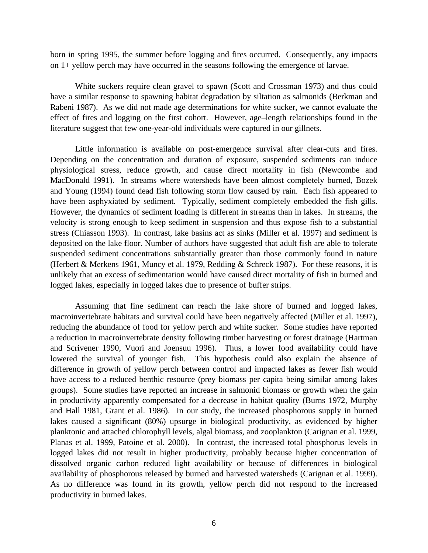born in spring 1995, the summer before logging and fires occurred. Consequently, any impacts on 1+ yellow perch may have occurred in the seasons following the emergence of larvae.

White suckers require clean gravel to spawn (Scott and Crossman 1973) and thus could have a similar response to spawning habitat degradation by siltation as salmonids (Berkman and Rabeni 1987). As we did not made age determinations for white sucker, we cannot evaluate the effect of fires and logging on the first cohort. However, age–length relationships found in the literature suggest that few one-year-old individuals were captured in our gillnets.

Little information is available on post-emergence survival after clear-cuts and fires. Depending on the concentration and duration of exposure, suspended sediments can induce physiological stress, reduce growth, and cause direct mortality in fish (Newcombe and MacDonald 1991). In streams where watersheds have been almost completely burned, Bozek and Young (1994) found dead fish following storm flow caused by rain. Each fish appeared to have been asphyxiated by sediment. Typically, sediment completely embedded the fish gills. However, the dynamics of sediment loading is different in streams than in lakes. In streams, the velocity is strong enough to keep sediment in suspension and thus expose fish to a substantial stress (Chiasson 1993). In contrast, lake basins act as sinks (Miller et al. 1997) and sediment is deposited on the lake floor. Number of authors have suggested that adult fish are able to tolerate suspended sediment concentrations substantially greater than those commonly found in nature (Herbert & Merkens 1961, Muncy et al. 1979, Redding & Schreck 1987). For these reasons, it is unlikely that an excess of sedimentation would have caused direct mortality of fish in burned and logged lakes, especially in logged lakes due to presence of buffer strips.

Assuming that fine sediment can reach the lake shore of burned and logged lakes, macroinvertebrate habitats and survival could have been negatively affected (Miller et al. 1997), reducing the abundance of food for yellow perch and white sucker. Some studies have reported a reduction in macroinvertebrate density following timber harvesting or forest drainage (Hartman and Scrivener 1990, Vuori and Joensuu 1996). Thus, a lower food availability could have lowered the survival of younger fish. This hypothesis could also explain the absence of difference in growth of yellow perch between control and impacted lakes as fewer fish would have access to a reduced benthic resource (prey biomass per capita being similar among lakes groups). Some studies have reported an increase in salmonid biomass or growth when the gain in productivity apparently compensated for a decrease in habitat quality (Burns 1972, Murphy and Hall 1981, Grant et al. 1986). In our study, the increased phosphorous supply in burned lakes caused a significant (80%) upsurge in biological productivity, as evidenced by higher planktonic and attached chlorophyll levels, algal biomass, and zooplankton (Carignan et al. 1999, Planas et al. 1999, Patoine et al. 2000). In contrast, the increased total phosphorus levels in logged lakes did not result in higher productivity, probably because higher concentration of dissolved organic carbon reduced light availability or because of differences in biological availability of phosphorous released by burned and harvested watersheds (Carignan et al. 1999). As no difference was found in its growth, yellow perch did not respond to the increased productivity in burned lakes.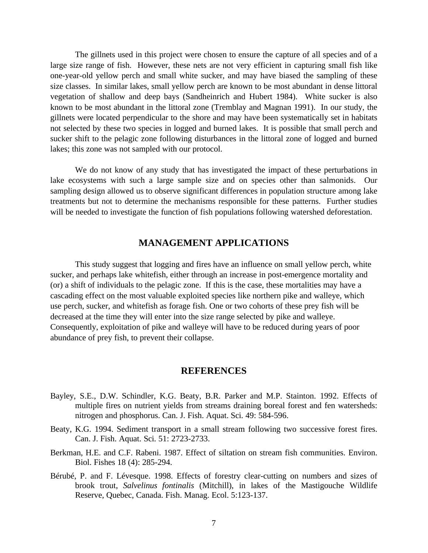The gillnets used in this project were chosen to ensure the capture of all species and of a large size range of fish. However, these nets are not very efficient in capturing small fish like one-year-old yellow perch and small white sucker, and may have biased the sampling of these size classes. In similar lakes, small yellow perch are known to be most abundant in dense littoral vegetation of shallow and deep bays (Sandheinrich and Hubert 1984). White sucker is also known to be most abundant in the littoral zone (Tremblay and Magnan 1991). In our study, the gillnets were located perpendicular to the shore and may have been systematically set in habitats not selected by these two species in logged and burned lakes. It is possible that small perch and sucker shift to the pelagic zone following disturbances in the littoral zone of logged and burned lakes; this zone was not sampled with our protocol.

We do not know of any study that has investigated the impact of these perturbations in lake ecosystems with such a large sample size and on species other than salmonids. Our sampling design allowed us to observe significant differences in population structure among lake treatments but not to determine the mechanisms responsible for these patterns. Further studies will be needed to investigate the function of fish populations following watershed deforestation.

# **MANAGEMENT APPLICATIONS**

This study suggest that logging and fires have an influence on small yellow perch, white sucker, and perhaps lake whitefish, either through an increase in post-emergence mortality and (or) a shift of individuals to the pelagic zone. If this is the case, these mortalities may have a cascading effect on the most valuable exploited species like northern pike and walleye, which use perch, sucker, and whitefish as forage fish. One or two cohorts of these prey fish will be decreased at the time they will enter into the size range selected by pike and walleye. Consequently, exploitation of pike and walleye will have to be reduced during years of poor abundance of prey fish, to prevent their collapse.

### **REFERENCES**

- Bayley, S.E., D.W. Schindler, K.G. Beaty, B.R. Parker and M.P. Stainton. 1992. Effects of multiple fires on nutrient yields from streams draining boreal forest and fen watersheds: nitrogen and phosphorus. Can. J. Fish. Aquat. Sci. 49: 584-596.
- Beaty, K.G. 1994. Sediment transport in a small stream following two successive forest fires. Can. J. Fish. Aquat. Sci. 51: 2723-2733.
- Berkman, H.E. and C.F. Rabeni. 1987. Effect of siltation on stream fish communities. Environ. Biol. Fishes 18 (4): 285-294.
- Bérubé, P. and F. Lévesque. 1998. Effects of forestry clear-cutting on numbers and sizes of brook trout, *Salvelinus fontinalis* (Mitchill), in lakes of the Mastigouche Wildlife Reserve, Quebec, Canada. Fish. Manag. Ecol. 5:123-137.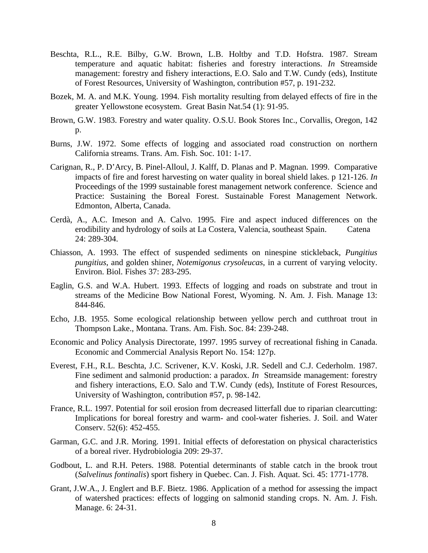- Beschta, R.L., R.E. Bilby, G.W. Brown, L.B. Holtby and T.D. Hofstra. 1987. Stream temperature and aquatic habitat: fisheries and forestry interactions. *In* Streamside management: forestry and fishery interactions, E.O. Salo and T.W. Cundy (eds), Institute of Forest Resources, University of Washington, contribution #57, p. 191-232.
- Bozek, M. A. and M.K. Young. 1994. Fish mortality resulting from delayed effects of fire in the greater Yellowstone ecosystem. Great Basin Nat.54 (1): 91-95.
- Brown, G.W. 1983. Forestry and water quality. O.S.U. Book Stores Inc., Corvallis, Oregon, 142 p.
- Burns, J.W. 1972. Some effects of logging and associated road construction on northern California streams. Trans. Am. Fish. Soc. 101: 1-17.
- Carignan, R., P. D'Arcy, B. Pinel-Alloul, J. Kalff, D. Planas and P. Magnan. 1999. Comparative impacts of fire and forest harvesting on water quality in boreal shield lakes. p 121-126. *In* Proceedings of the 1999 sustainable forest management network conference. Science and Practice: Sustaining the Boreal Forest. Sustainable Forest Management Network. Edmonton, Alberta, Canada.
- Cerdà, A., A.C. Imeson and A. Calvo. 1995. Fire and aspect induced differences on the erodibility and hydrology of soils at La Costera, Valencia, southeast Spain. Catena 24: 289-304.
- Chiasson, A. 1993. The effect of suspended sediments on ninespine stickleback, *Pungitius pungitius*, and golden shiner, *Notemigonus crysoleucas*, in a current of varying velocity. Environ. Biol. Fishes 37: 283-295.
- Eaglin, G.S. and W.A. Hubert. 1993. Effects of logging and roads on substrate and trout in streams of the Medicine Bow National Forest, Wyoming. N. Am. J. Fish. Manage 13: 844-846.
- Echo, J.B. 1955. Some ecological relationship between yellow perch and cutthroat trout in Thompson Lake., Montana. Trans. Am. Fish. Soc. 84: 239-248.
- Economic and Policy Analysis Directorate, 1997. 1995 survey of recreational fishing in Canada. Economic and Commercial Analysis Report No. 154: 127p.
- Everest, F.H., R.L. Beschta, J.C. Scrivener, K.V. Koski, J.R. Sedell and C.J. Cederholm. 1987. Fine sediment and salmonid production: a paradox. *In* Streamside management: forestry and fishery interactions, E.O. Salo and T.W. Cundy (eds), Institute of Forest Resources, University of Washington, contribution #57, p. 98-142.
- France, R.L. 1997. Potential for soil erosion from decreased litterfall due to riparian clearcutting: Implications for boreal forestry and warm- and cool-water fisheries. J. Soil. and Water Conserv. 52(6): 452-455.
- Garman, G.C. and J.R. Moring. 1991. Initial effects of deforestation on physical characteristics of a boreal river. Hydrobiologia 209: 29-37.
- Godbout, L. and R.H. Peters. 1988. Potential determinants of stable catch in the brook trout (*Salvelinus fontinalis*) sport fishery in Quebec. Can. J. Fish. Aquat. Sci. 45: 1771-1778.
- Grant, J.W.A., J. Englert and B.F. Bietz. 1986. Application of a method for assessing the impact of watershed practices: effects of logging on salmonid standing crops. N. Am. J. Fish. Manage. 6: 24-31.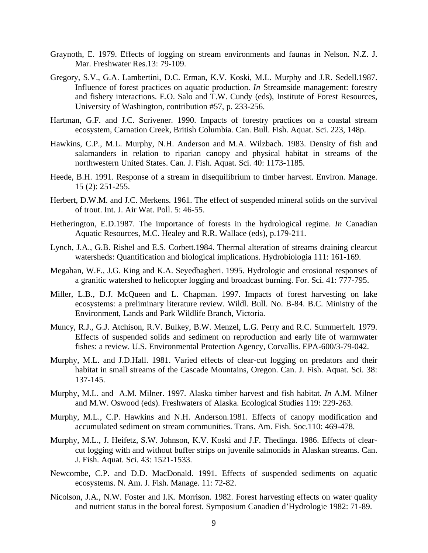- Graynoth, E. 1979. Effects of logging on stream environments and faunas in Nelson. N.Z. J. Mar. Freshwater Res.13: 79-109.
- Gregory, S.V., G.A. Lambertini, D.C. Erman, K.V. Koski, M.L. Murphy and J.R. Sedell.1987. Influence of forest practices on aquatic production. *In* Streamside management: forestry and fishery interactions. E.O. Salo and T.W. Cundy (eds), Institute of Forest Resources, University of Washington, contribution #57, p. 233-256.
- Hartman, G.F. and J.C. Scrivener. 1990. Impacts of forestry practices on a coastal stream ecosystem, Carnation Creek, British Columbia*.* Can. Bull. Fish. Aquat. Sci. 223, 148p.
- Hawkins, C.P., M.L. Murphy, N.H. Anderson and M.A. Wilzbach. 1983. Density of fish and salamanders in relation to riparian canopy and physical habitat in streams of the northwestern United States. Can. J. Fish. Aquat. Sci. 40: 1173-1185.
- Heede, B.H. 1991. Response of a stream in disequilibrium to timber harvest. Environ. Manage. 15 (2): 251-255.
- Herbert, D.W.M. and J.C. Merkens. 1961. The effect of suspended mineral solids on the survival of trout. Int. J. Air Wat. Poll. 5: 46-55.
- Hetherington, E.D.1987. The importance of forests in the hydrological regime. *In* Canadian Aquatic Resources, M.C. Healey and R.R. Wallace (eds), p.179-211.
- Lynch, J.A., G.B. Rishel and E.S. Corbett.1984. Thermal alteration of streams draining clearcut watersheds: Quantification and biological implications. Hydrobiologia 111: 161-169.
- Megahan, W.F., J.G. King and K.A. Seyedbagheri. 1995. Hydrologic and erosional responses of a granitic watershed to helicopter logging and broadcast burning. For. Sci. 41: 777-795.
- Miller, L.B., D.J. McQueen and L. Chapman. 1997. Impacts of forest harvesting on lake ecosystems: a preliminary literature review. Wildl. Bull. No. B-84. B.C. Ministry of the Environment, Lands and Park Wildlife Branch, Victoria.
- Muncy, R.J., G.J. Atchison, R.V. Bulkey, B.W. Menzel, L.G. Perry and R.C. Summerfelt. 1979. Effects of suspended solids and sediment on reproduction and early life of warmwater fishes: a review. U.S. Environmental Protection Agency, Corvallis. EPA-600/3-79-042.
- Murphy, M.L. and J.D.Hall. 1981. Varied effects of clear-cut logging on predators and their habitat in small streams of the Cascade Mountains, Oregon. Can. J. Fish. Aquat. Sci. 38: 137-145.
- Murphy, M.L. and A.M. Milner. 1997. Alaska timber harvest and fish habitat. *In* A.M. Milner and M.W. Oswood (eds). Freshwaters of Alaska. Ecological Studies 119: 229-263.
- Murphy, M.L., C.P. Hawkins and N.H. Anderson.1981. Effects of canopy modification and accumulated sediment on stream communities. Trans. Am. Fish. Soc.110: 469-478.
- Murphy, M.L., J. Heifetz, S.W. Johnson, K.V. Koski and J.F. Thedinga. 1986. Effects of clearcut logging with and without buffer strips on juvenile salmonids in Alaskan streams. Can. J. Fish. Aquat. Sci. 43: 1521-1533.
- Newcombe, C.P. and D.D. MacDonald. 1991. Effects of suspended sediments on aquatic ecosystems. N. Am. J. Fish. Manage. 11: 72-82.
- Nicolson, J.A., N.W. Foster and I.K. Morrison. 1982. Forest harvesting effects on water quality and nutrient status in the boreal forest. Symposium Canadien d'Hydrologie 1982: 71-89.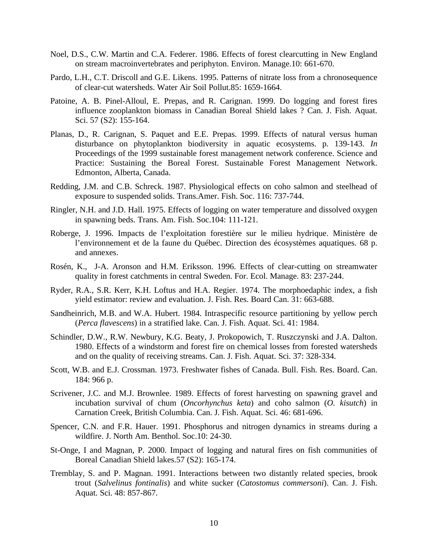- Noel, D.S., C.W. Martin and C.A. Federer. 1986. Effects of forest clearcutting in New England on stream macroinvertebrates and periphyton. Environ. Manage.10: 661-670.
- Pardo, L.H., C.T. Driscoll and G.E. Likens. 1995. Patterns of nitrate loss from a chronosequence of clear-cut watersheds. Water Air Soil Pollut.85: 1659-1664.
- Patoine, A. B. Pinel-Alloul, E. Prepas, and R. Carignan. 1999. Do logging and forest fires influence zooplankton biomass in Canadian Boreal Shield lakes ? Can. J. Fish. Aquat. Sci. 57 (S2): 155-164.
- Planas, D., R. Carignan, S. Paquet and E.E. Prepas. 1999. Effects of natural versus human disturbance on phytoplankton biodiversity in aquatic ecosystems. p. 139-143. *In* Proceedings of the 1999 sustainable forest management network conference. Science and Practice: Sustaining the Boreal Forest. Sustainable Forest Management Network. Edmonton, Alberta, Canada.
- Redding, J.M. and C.B. Schreck. 1987. Physiological effects on coho salmon and steelhead of exposure to suspended solids. Trans.Amer. Fish. Soc. 116: 737-744.
- Ringler, N.H. and J.D. Hall. 1975. Effects of logging on water temperature and dissolved oxygen in spawning beds. Trans. Am. Fish. Soc.104: 111-121.
- Roberge, J. 1996. Impacts de l'exploitation forestière sur le milieu hydrique. Ministère de l'environnement et de la faune du Québec. Direction des écosystèmes aquatiques. 68 p. and annexes.
- Rosén, K., J-A. Aronson and H.M. Eriksson. 1996. Effects of clear-cutting on streamwater quality in forest catchments in central Sweden. For. Ecol. Manage. 83: 237-244.
- Ryder, R.A., S.R. Kerr, K.H. Loftus and H.A. Regier. 1974. The morphoedaphic index, a fish yield estimator: review and evaluation. J. Fish. Res. Board Can. 31: 663-688.
- Sandheinrich, M.B. and W.A. Hubert. 1984. Intraspecific resource partitioning by yellow perch (*Perca flavescens*) in a stratified lake. Can. J. Fish. Aquat. Sci. 41: 1984.
- Schindler, D.W., R.W. Newbury, K.G. Beaty, J. Prokopowich, T. Ruszczynski and J.A. Dalton. 1980. Effects of a windstorm and forest fire on chemical losses from forested watersheds and on the quality of receiving streams. Can. J. Fish. Aquat. Sci. 37: 328-334.
- Scott, W.B. and E.J. Crossman. 1973. Freshwater fishes of Canada. Bull. Fish. Res. Board. Can. 184: 966 p.
- Scrivener, J.C. and M.J. Brownlee. 1989. Effects of forest harvesting on spawning gravel and incubation survival of chum (*Oncorhynchus keta*) and coho salmon (*O. kisutch*) in Carnation Creek, British Columbia. Can. J. Fish. Aquat. Sci. 46: 681-696.
- Spencer, C.N. and F.R. Hauer. 1991. Phosphorus and nitrogen dynamics in streams during a wildfire. J. North Am. Benthol. Soc.10: 24-30.
- St-Onge, I and Magnan, P. 2000. Impact of logging and natural fires on fish communities of Boreal Canadian Shield lakes.57 (S2): 165-174.
- Tremblay, S. and P. Magnan. 1991. Interactions between two distantly related species, brook trout (*Salvelinus fontinalis*) and white sucker (*Catostomus commersoni*). Can. J. Fish. Aquat. Sci. 48: 857-867.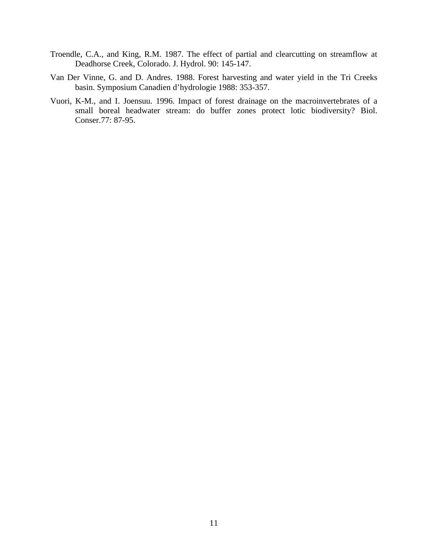- Troendle, C.A., and King, R.M. 1987. The effect of partial and clearcutting on streamflow at Deadhorse Creek, Colorado. J. Hydrol. 90: 145-147.
- Van Der Vinne, G. and D. Andres. 1988. Forest harvesting and water yield in the Tri Creeks basin. Symposium Canadien d'hydrologie 1988: 353-357.
- Vuori, K-M., and I. Joensuu. 1996. Impact of forest drainage on the macroinvertebrates of a small boreal headwater stream: do buffer zones protect lotic biodiversity? Biol. Conser.77: 87-95.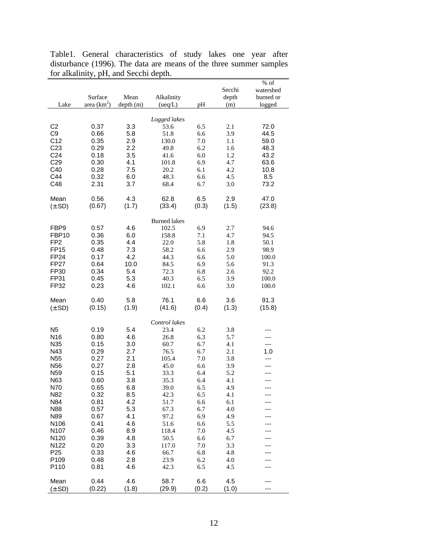|                                      |                          |                  |                       |            | Secchi       | $%$ of<br>watershed |
|--------------------------------------|--------------------------|------------------|-----------------------|------------|--------------|---------------------|
| Lake                                 | Surface<br>area $(km^2)$ | Mean<br>depth(m) | Alkalinity<br>(ueq/L) | pH         | depth<br>(m) | burned or<br>logged |
|                                      |                          |                  |                       |            |              |                     |
| C <sub>2</sub>                       | 0.37                     | 3.3              | Logged lakes<br>53.6  | 6.5        | 2.1          | 72.0                |
| C9                                   | 0.66                     | 5.8              | 51.8                  | 6.6        | 3.9          | 44.5                |
| C12                                  | 0.35                     | 2.9              | 130.0                 | 7.0        | 1.1          | 59.0                |
| C <sub>23</sub>                      | 0.29                     | 2.2              | 49.8                  | 6.2        | 1.6          | 48.3                |
| C <sub>24</sub>                      | 0.18                     | 3.5              | 41.6                  | 6.0        | 1.2          | 43.2                |
| C <sub>29</sub>                      | 0.30                     | 4.1              | 101.8                 | 6.9        | 4.7          | 63.6                |
| C40                                  | 0.28                     | 7.5              | 20.2                  | 6.1        | 4.2          | 10.8                |
| C44                                  | 0.32                     | 6.0              | 48.3                  | 6.6        | 4.5          | 8.5                 |
| C48                                  | 2.31                     | 3.7              | 68.4                  | 6.7        | 3.0          | 73.2                |
| Mean                                 | 0.56                     | 4.3              | 62.8                  | 6.5        | 2.9          | 47.0                |
| $(\pm SD)$                           | (0.67)                   | (1.7)            | (33.4)                | (0.3)      | (1.5)        | (23.8)              |
|                                      |                          |                  | <b>Burned</b> lakes   |            |              |                     |
| FBP9                                 | 0.57                     | 4.6              | 102.5                 | 6.9        | 2.7          | 94.6                |
| FBP10                                | 0.36                     | 6.0              | 158.8                 | 7.1        | 4.7          | 94.5                |
| FP <sub>2</sub>                      | 0.35                     | 4.4              | 22.0                  | 5.8        | 1.8          | 50.1                |
| <b>FP15</b>                          | 0.48                     | 7.3              | 58.2                  | 6.6        | 2.9          | 98.9                |
| FP24<br><b>FP27</b>                  | 0.17<br>0.64             | 4.2<br>10.0      | 44.3<br>84.5          | 6.6<br>6.9 | 5.0<br>5.6   | 100.0<br>91.3       |
| FP30                                 | 0.34                     | 5.4              | 72.3                  | 6.8        | 2.6          | 92.2                |
| FP31                                 | 0.45                     | 5.3              | 40.3                  | 6.5        | 3.9          | 100.0               |
| FP32                                 | 0.23                     | 4.6              | 102.1                 | 6.6        | 3.0          | 100.0               |
| Mean                                 | 0.40                     | 5.8              | 76.1                  | 6.6        | 3.6          | 91.3                |
| $(\pm SD)$                           | (0.15)                   | (1.9)            | (41.6)                | (0.4)      | (1.3)        | (15.8)              |
|                                      |                          |                  | Control lakes         |            |              |                     |
| N <sub>5</sub>                       | 0.19                     | 5.4              | 23.4                  | 6.2        | 3.8          |                     |
| N <sub>16</sub>                      | 0.80                     | 4.6              | 26.8                  | 6.3        | 5.7          | ---                 |
| N35                                  | 0.15                     | 3.0              | 60.7                  | 6.7        | 4.1          | ---                 |
| N43                                  | 0.29                     | 2.7              | 76.5                  | 6.7        | 2.1          | 1.0                 |
| N <sub>55</sub>                      | 0.27                     | 2.1              | 105.4                 | 7.0        | 3.8          | ---                 |
| N <sub>56</sub><br>N <sub>59</sub>   | 0.27<br>0.15             | 2.8<br>5.1       | 45.0<br>33.3          | 6.6<br>6.4 | 3.9<br>5.2   |                     |
| N63                                  | 0.60                     | 3.8              | 35.3                  | 6.4        | 4.1          |                     |
| N70                                  | 0.65                     | 6.8              | 39.0                  | 6.5        | 4.9          | ---                 |
| N82                                  | 0.32                     | 8.5              | 42.3                  | 6.5        | 4.1          |                     |
| N84                                  | 0.81                     | 4.2              | 51.7                  | 6.6        | 6.1          |                     |
| N88                                  | 0.57                     | 5.3              | 67.3                  | 6.7        | 4.0          |                     |
| N89                                  | 0.67                     | 4.1              | 97.2                  | 6.9        | 4.9          |                     |
| N <sub>106</sub>                     | 0.41                     | 4.6              | 51.6                  | 6.6        | 5.5          |                     |
| N <sub>107</sub><br>N <sub>120</sub> | 0.46<br>0.39             | 8.9<br>4.8       | 118.4<br>50.5         | 7.0<br>6.6 | 4.5<br>6.7   |                     |
| N <sub>122</sub>                     | 0.20                     | 3.3              | 117.0                 | 7.0        | 3.3          |                     |
| P <sub>25</sub>                      | 0.33                     | 4.6              | 66.7                  | 6.8        | 4.8          |                     |
| P <sub>109</sub>                     | 0.48                     | 2.8              | 23.9                  | 6.2        | 4.0          |                     |
| P110                                 | 0.81                     | 4.6              | 42.3                  | 6.5        | 4.5          |                     |
| Mean                                 | 0.44                     | 4.6              | 58.7                  | 6.6        | 4.5          |                     |
| $(\pm SD)$                           | (0.22)                   | (1.8)            | (29.9)                | (0.2)      | (1.0)        |                     |

Table1. General characteristics of study lakes one year after disturbance (1996). The data are means of the three summer samples for alkalinity, pH, and Secchi depth.  $\overline{\phantom{0}}$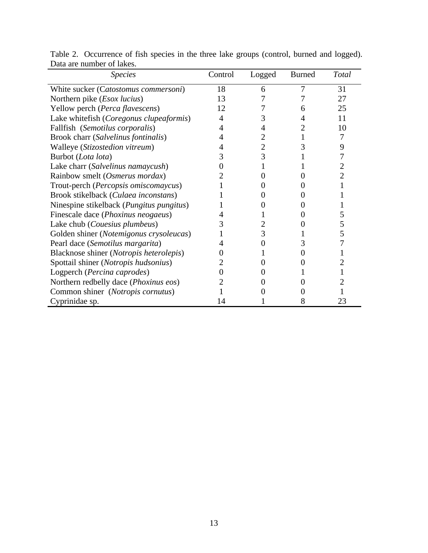| <b>Species</b>                                    | Control | Logged | <b>Burned</b> | Total |
|---------------------------------------------------|---------|--------|---------------|-------|
| White sucker (Catostomus commersoni)              | 18      | 6      | 7             | 31    |
| Northern pike ( <i>Esox lucius</i> )              | 13      |        |               | 27    |
| Yellow perch (Perca flavescens)                   | 12      |        | 6             | 25    |
| Lake whitefish (Coregonus clupeaformis)           | 4       | 3      | 4             | 11    |
| Fallfish (Semotilus corporalis)                   | 4       |        |               | 10    |
| Brook charr (Salvelinus fontinalis)               |         |        |               |       |
| Walleye (Stizostedion vitreum)                    |         | 2      | 3             | 9     |
| Burbot (Lota lota)                                | 3       | 3      |               |       |
| Lake charr (Salvelinus namaycush)                 |         |        |               |       |
| Rainbow smelt (Osmerus mordax)                    |         |        |               |       |
| Trout-perch (Percopsis omiscomaycus)              |         |        |               |       |
| Brook stikelback (Culaea inconstans)              |         |        |               |       |
| Ninespine stikelback ( <i>Pungitus pungitus</i> ) |         |        |               |       |
| Finescale dace (Phoxinus neogaeus)                |         |        |               |       |
| Lake chub ( <i>Couesius plumbeus</i> )            |         |        |               |       |
| Golden shiner (Notemigonus crysoleucas)           |         |        |               |       |
| Pearl dace (Semotilus margarita)                  |         |        | 3             |       |
| Blacknose shiner (Notropis heterolepis)           |         |        | 0             |       |
| Spottail shiner (Notropis hudsonius)              |         |        |               |       |
| Logperch (Percina caprodes)                       |         |        |               |       |
| Northern redbelly dace ( <i>Phoxinus eos</i> )    |         |        |               |       |
| Common shiner (Notropis cornutus)                 |         |        |               |       |
| Cyprinidae sp.                                    | 14      |        | 8             | 23    |

Table 2. Occurrence of fish species in the three lake groups (control, burned and logged). Data are number of lakes.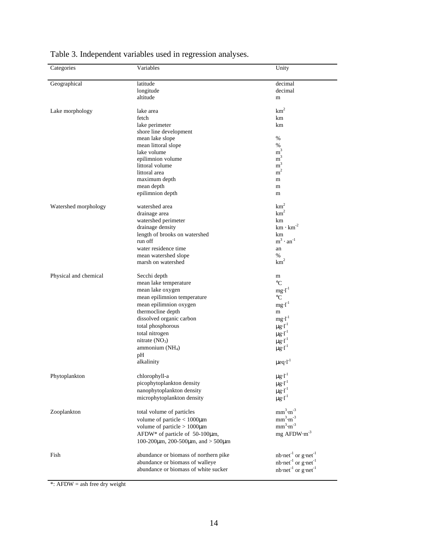| Categories            | Variables                                           | Unity                                     |
|-----------------------|-----------------------------------------------------|-------------------------------------------|
|                       |                                                     |                                           |
| Geographical          | latitude                                            | decimal                                   |
|                       | longitude                                           | decimal                                   |
|                       | altitude                                            | m                                         |
| Lake morphology       | lake area                                           | $\mbox{km}^2$                             |
|                       | fetch                                               | km                                        |
|                       | lake perimeter                                      | km                                        |
|                       | shore line development                              |                                           |
|                       | mean lake slope                                     | $\%$                                      |
|                       | mean littoral slope                                 | %                                         |
|                       | lake volume                                         | m <sup>3</sup>                            |
|                       | epilimnion volume                                   | m <sup>3</sup>                            |
|                       | littoral volume                                     | m <sup>3</sup>                            |
|                       | littoral area                                       | m <sup>2</sup>                            |
|                       | maximum depth                                       | m                                         |
|                       | mean depth                                          | m                                         |
|                       | epilimnion depth                                    | m                                         |
|                       |                                                     |                                           |
| Watershed morphology  | watershed area                                      | km <sup>2</sup>                           |
|                       | drainage area                                       | km <sup>2</sup>                           |
|                       | watershed perimeter                                 | km                                        |
|                       | drainage density                                    | $km \cdot km^{-2}$                        |
|                       | length of brooks on watershed                       | km                                        |
|                       | run off                                             | $m^3 \cdot an^{-1}$                       |
|                       | water residence time                                | an                                        |
|                       | mean watershed slope                                | %                                         |
|                       | marsh on watershed                                  | km <sup>2</sup>                           |
|                       |                                                     |                                           |
| Physical and chemical | Secchi depth                                        | m<br>$\rm ^{\circ}C$                      |
|                       | mean lake temperature                               |                                           |
|                       | mean lake oxygen                                    | $mg-I^1$                                  |
|                       | mean epilimnion temperature                         | $\rm ^{\circ}C$                           |
|                       | mean epilimnion oxygen                              | $mg·l-1$                                  |
|                       | thermocline depth                                   | m                                         |
|                       | dissolved organic carbon                            | $mg \cdot l^{-1}$                         |
|                       | total phosphorous                                   | $\mu g \cdot l^{-1}$                      |
|                       | total nitrogen                                      | $\mu g \cdot l^{-1}$                      |
|                       | nitrate $(NO3)$                                     | $\mu g{\cdot}l^{\text{-}1}$               |
|                       | ammonium (NH <sub>4</sub> )                         | $\mu g \cdot l^{-1}$                      |
|                       | pН                                                  |                                           |
|                       | alkalinity                                          | $\mu$ eq·l <sup>-1</sup>                  |
| Phytoplankton         | chlorophyll-a                                       | $\mu$ g·l <sup>-1</sup>                   |
|                       | picophytoplankton density                           | $\mu g \cdot \Gamma^1$                    |
|                       | nanophytoplankton density                           | $\mu g \cdot \Gamma^1$                    |
|                       | microphytoplankton density                          | $\mu g \cdot \Gamma^1$                    |
|                       |                                                     |                                           |
| Zooplankton           | total volume of particles                           | $mm^3 \cdot m^{-3}$                       |
|                       | volume of particle $< 1000 \mu m$                   | $mm^3 \cdot m^{-3}$                       |
|                       | volume of particle $> 1000 \mu m$                   | $mm^3 \cdot m^{-3}$                       |
|                       | AFDW* of particle of 50-100µm,                      | mg AFDW·m <sup>-3</sup>                   |
|                       | 100-200 $\mu$ m, 200-500 $\mu$ m, and > 500 $\mu$ m |                                           |
|                       |                                                     |                                           |
| Fish                  | abundance or biomass of northern pike               | nb $net^{-1}$ or g $net^{-1}$             |
|                       | abundance or biomass of walleye                     | $nb \cdot net^{-1}$ or $g \cdot net^{-1}$ |
|                       | abundance or biomass of white sucker                | $nb \cdot net^{-1}$ or $g \cdot net^{-1}$ |
|                       |                                                     |                                           |

Table 3. Independent variables used in regression analyses.

\*: AFDW = ash free dry weight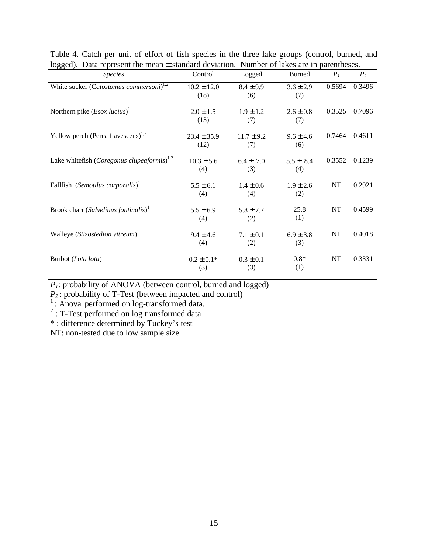| $\log_5$ ca). Daia represent the mean $\pm$ standard deviation. Tranfoer of fakes are in parentheses. |                 |                |               |        |                |
|-------------------------------------------------------------------------------------------------------|-----------------|----------------|---------------|--------|----------------|
| <b>Species</b>                                                                                        | Control         | Logged         | <b>Burned</b> | $P_I$  | P <sub>2</sub> |
| White sucker (Catostomus commersoni) <sup>1,2</sup>                                                   | $10.2 \pm 12.0$ | $8.4 \pm 9.9$  | $3.6 \pm 2.9$ | 0.5694 | 0.3496         |
|                                                                                                       | (18)            | (6)            | (7)           |        |                |
| Northern pike $(Esox lucius)^T$                                                                       | $2.0 \pm 1.5$   | $1.9 \pm 1.2$  | $2.6 \pm 0.8$ | 0.3525 | 0.7096         |
|                                                                                                       | (13)            | (7)            | (7)           |        |                |
| Yellow perch (Perca flavescens) <sup>1,2</sup>                                                        | $23.4 \pm 35.9$ | $11.7 \pm 9.2$ | $9.6 \pm 4.6$ | 0.7464 | 0.4611         |
|                                                                                                       | (12)            | (7)            | (6)           |        |                |
| Lake white fish ( <i>Coregonus clupedformis</i> ) <sup>1,2</sup>                                      | $10.3 \pm 5.6$  | $6.4 \pm 7.0$  | $5.5 \pm 8.4$ | 0.3552 | 0.1239         |
|                                                                                                       | (4)             | (3)            | (4)           |        |                |
| Fallfish (Semotilus corporalis) <sup>1</sup>                                                          | $5.5 \pm 6.1$   | $1.4 \pm 0.6$  | $1.9 \pm 2.6$ | NT     | 0.2921         |
|                                                                                                       | (4)             | (4)            | (2)           |        |                |
| Brook charr (Salvelinus fontinalis) <sup>1</sup>                                                      | $5.5 \pm 6.9$   | $5.8 \pm 7.7$  | 25.8          | NT     | 0.4599         |
|                                                                                                       | (4)             | (2)            | (1)           |        |                |
| Walleye (Stizostedion vitreum) <sup>1</sup>                                                           | $9.4 \pm 4.6$   | $7.1 \pm 0.1$  | $6.9 \pm 3.8$ | NT     | 0.4018         |
|                                                                                                       | (4)             | (2)            | (3)           |        |                |
| Burbot (Lota lota)                                                                                    | $0.2 \pm 0.1*$  | $0.3 \pm 0.1$  | $0.8*$        | NT     | 0.3331         |
|                                                                                                       | (3)             | (3)            | (1)           |        |                |

Table 4. Catch per unit of effort of fish species in the three lake groups (control, burned, and logged). Data represent the mean ± standard deviation. Number of lakes are in parentheses.

*P1*: probability of ANOVA (between control, burned and logged)

 $P_2$ : probability of T-Test (between impacted and control)<br><sup>1</sup>: Anova performed on log-transformed data.<br><sup>2</sup>: T-Test performed on log transformed data

\* : difference determined by Tuckey's test

NT: non-tested due to low sample size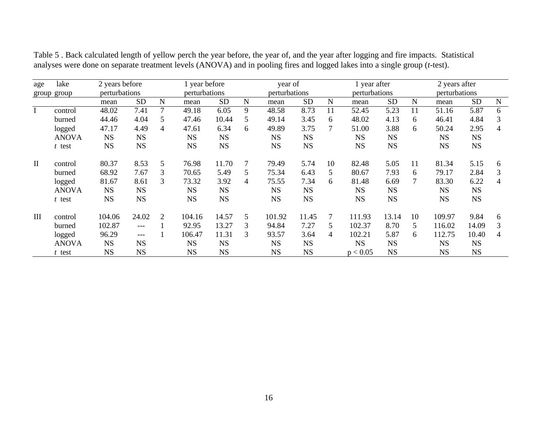| age      | lake         | 2 years before |           |                | 1 year before |           |                | year of       |           |             | 1 year after  |           |             | 2 years after |           |             |
|----------|--------------|----------------|-----------|----------------|---------------|-----------|----------------|---------------|-----------|-------------|---------------|-----------|-------------|---------------|-----------|-------------|
|          | group group  | perturbations  |           |                | perturbations |           |                | perturbations |           |             | perturbations |           |             | perturbations |           |             |
|          |              | mean           | <b>SD</b> | N              | mean          | <b>SD</b> | N              | mean          | <b>SD</b> | $\mathbf N$ | mean          | <b>SD</b> | $\mathbf N$ | mean          | <b>SD</b> | $\mathbf N$ |
| $\bf{I}$ | control      | 48.02          | 7.41      | $\overline{7}$ | 49.18         | 6.05      | 9              | 48.58         | 8.73      | 11          | 52.45         | 5.23      | 11          | 51.16         | 5.87      | 6           |
|          | burned       | 44.46          | 4.04      | 5              | 47.46         | 10.44     | 5              | 49.14         | 3.45      | 6           | 48.02         | 4.13      | 6           | 46.41         | 4.84      | 3           |
|          | logged       | 47.17          | 4.49      | 4              | 47.61         | 6.34      | 6              | 49.89         | 3.75      |             | 51.00         | 3.88      | 6           | 50.24         | 2.95      | 4           |
|          | <b>ANOVA</b> | <b>NS</b>      | <b>NS</b> |                | <b>NS</b>     | <b>NS</b> |                | <b>NS</b>     | <b>NS</b> |             | <b>NS</b>     | <b>NS</b> |             | <b>NS</b>     | <b>NS</b> |             |
|          | $t$ test     | <b>NS</b>      | <b>NS</b> |                | <b>NS</b>     | <b>NS</b> |                | <b>NS</b>     | <b>NS</b> |             | <b>NS</b>     | <b>NS</b> |             | <b>NS</b>     | <b>NS</b> |             |
| $\rm II$ | control      | 80.37          | 8.53      | 5              | 76.98         | 11.70     | $\overline{7}$ | 79.49         | 5.74      | 10          | 82.48         | 5.05      | 11          | 81.34         | 5.15      | 6           |
|          | burned       | 68.92          | 7.67      | 3              | 70.65         | 5.49      | 5              | 75.34         | 6.43      | 5           | 80.67         | 7.93      | 6           | 79.17         | 2.84      | 3           |
|          | logged       | 81.67          | 8.61      | 3              | 73.32         | 3.92      | $\overline{4}$ | 75.55         | 7.34      | 6           | 81.48         | 6.69      | 7           | 83.30         | 6.22      | 4           |
|          | <b>ANOVA</b> | <b>NS</b>      | <b>NS</b> |                | <b>NS</b>     | <b>NS</b> |                | <b>NS</b>     | <b>NS</b> |             | <b>NS</b>     | <b>NS</b> |             | <b>NS</b>     | <b>NS</b> |             |
|          | $t$ test     | <b>NS</b>      | <b>NS</b> |                | <b>NS</b>     | <b>NS</b> |                | <b>NS</b>     | <b>NS</b> |             | <b>NS</b>     | <b>NS</b> |             | <b>NS</b>     | <b>NS</b> |             |
| Ш        | control      | 104.06         | 24.02     | 2              | 104.16        | 14.57     | 5              | 101.92        | 11.45     |             | 111.93        | 13.14     | 10          | 109.97        | 9.84      | 6           |
|          | burned       | 102.87         | ---       |                | 92.95         | 13.27     | 3              | 94.84         | 7.27      | 5           | 102.37        | 8.70      | 5           | 116.02        | 14.09     | 3           |
|          | logged       | 96.29          | ---       |                | 106.47        | 11.31     | 3              | 93.57         | 3.64      | 4           | 102.21        | 5.87      | 6           | 112.75        | 10.40     | 4           |
|          | <b>ANOVA</b> | <b>NS</b>      | <b>NS</b> |                | <b>NS</b>     | <b>NS</b> |                | <b>NS</b>     | <b>NS</b> |             | <b>NS</b>     | <b>NS</b> |             | <b>NS</b>     | <b>NS</b> |             |
|          | $t$ test     | <b>NS</b>      | <b>NS</b> |                | <b>NS</b>     | <b>NS</b> |                | <b>NS</b>     | <b>NS</b> |             | p < 0.05      | <b>NS</b> |             | <b>NS</b>     | <b>NS</b> |             |

Table 5 . Back calculated length of yellow perch the year before, the year of, and the year after logging and fire impacts. Statistical analyses were done on separate treatment levels (ANOVA) and in pooling fires and logged lakes into a single group (*t*-test).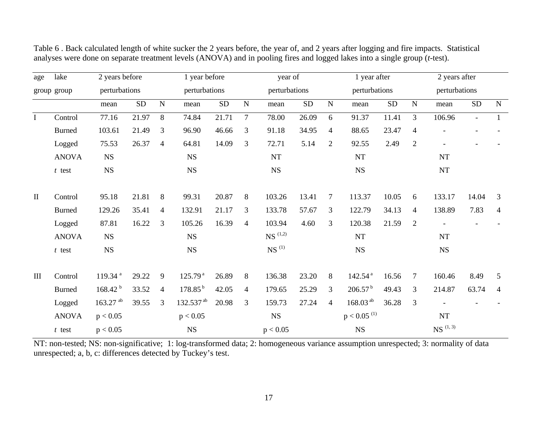| age                | lake          | 2 years before         |            |                | 1 year before       |            |                | year of                |            |                | 1 year after                   |            |                | 2 years after |                |                |
|--------------------|---------------|------------------------|------------|----------------|---------------------|------------|----------------|------------------------|------------|----------------|--------------------------------|------------|----------------|---------------|----------------|----------------|
|                    | group group   | perturbations          |            |                | perturbations       |            |                | perturbations          |            |                | perturbations                  |            |                | perturbations |                |                |
|                    |               | mean                   | ${\rm SD}$ | $\mathbf N$    | mean                | ${\rm SD}$ | $\mathbf N$    | mean                   | ${\rm SD}$ | ${\bf N}$      | mean                           | ${\rm SD}$ | ${\bf N}$      | mean          | ${\rm SD}$     | ${\bf N}$      |
| $\bf I$            | Control       | 77.16                  | 21.97      | 8              | 74.84               | 21.71      | $\overline{7}$ | 78.00                  | 26.09      | 6              | 91.37                          | 11.41      | $\overline{3}$ | 106.96        | $\blacksquare$ | $\mathbf{1}$   |
|                    | <b>Burned</b> | 103.61                 | 21.49      | 3              | 96.90               | 46.66      | 3              | 91.18                  | 34.95      | 4              | 88.65                          | 23.47      | $\overline{4}$ |               |                |                |
|                    | Logged        | 75.53                  | 26.37      | $\overline{4}$ | 64.81               | 14.09      | 3              | 72.71                  | 5.14       | 2              | 92.55                          | 2.49       | $\overline{2}$ |               |                |                |
|                    | <b>ANOVA</b>  | $_{\rm NS}$            |            |                | $_{\rm NS}$         |            |                | $\rm{NT}$              |            |                | $\rm{NT}$                      |            |                | $\rm{NT}$     |                |                |
|                    | $t$ test      | $_{\rm NS}$            |            |                | NS                  |            |                | <b>NS</b>              |            |                | $_{\rm NS}$                    |            |                | $\mathbf{NT}$ |                |                |
| $\mathbf{I}$       | Control       | 95.18                  | 21.81      | 8              | 99.31               | 20.87      | 8              | 103.26                 | 13.41      | 7              | 113.37                         | 10.05      | 6              | 133.17        | 14.04          | 3              |
|                    | <b>Burned</b> | 129.26                 | 35.41      | $\overline{4}$ | 132.91              | 21.17      | 3              | 133.78                 | 57.67      | 3              | 122.79                         | 34.13      | $\overline{4}$ | 138.89        | 7.83           | $\overline{4}$ |
|                    | Logged        | 87.81                  | 16.22      | 3              | 105.26              | 16.39      | $\overline{4}$ | 103.94                 | 4.60       | 3              | 120.38                         | 21.59      | $\overline{2}$ |               |                |                |
|                    | <b>ANOVA</b>  | $_{\rm NS}$            |            |                | $_{\rm NS}$         |            |                | $\text{NS}$ $^{(1,2)}$ |            |                | $\rm{NT}$                      |            |                | NT            |                |                |
|                    | $t$ test      | $_{\rm NS}$            |            |                | $_{\rm NS}$         |            |                | $NS$ <sup>(1)</sup>    |            |                | $_{\rm NS}$                    |            |                | $_{\rm NS}$   |                |                |
| $\mathop{\rm III}$ | Control       | 119.34 <sup>a</sup>    | 29.22      | 9              | 125.79 <sup>a</sup> | 26.89      | 8              | 136.38                 | 23.20      | 8              | 142.54 <sup>a</sup>            | 16.56      | $\tau$         | 160.46        | 8.49           | 5              |
|                    | <b>Burned</b> | 168.42 <sup>b</sup>    | 33.52      | $\overline{4}$ | $178.85^{b}$        | 42.05      | $\overline{4}$ | 179.65                 | 25.29      | 3              | $206.57^{\mathrm{b}}$          | 49.43      | 3              | 214.87        | 63.74          | $\overline{4}$ |
|                    | Logged        | $163.27$ <sup>ab</sup> | 39.55      | 3              | 132.537 $^{ab}$     | 20.98      | 3              | 159.73                 | 27.24      | $\overline{4}$ | $168.03^{ab}$                  | 36.28      | $\overline{3}$ |               |                |                |
|                    | <b>ANOVA</b>  | p < 0.05               |            |                | p < 0.05            |            |                | $_{\rm NS}$            |            |                | $p < 0.05$ $^{\left(1\right)}$ |            |                | NT            |                |                |
|                    | $t$ test      | p < 0.05               |            |                | $_{\rm NS}$         |            |                | p < 0.05               |            |                | $_{\rm NS}$                    |            |                | $NS^{(1, 3)}$ |                |                |

Table 6 . Back calculated length of white sucker the 2 years before, the year of, and 2 years after logging and fire impacts. Statistical analyses were done on separate treatment levels (ANOVA) and in pooling fires and logged lakes into a single group (*t*-test).

NT: non-tested; NS: non-significative; 1: log-transformed data; 2: homogeneous variance assumption unrespected; 3: normality of data unrespected; a, b, c: differences detected by Tuckey's test.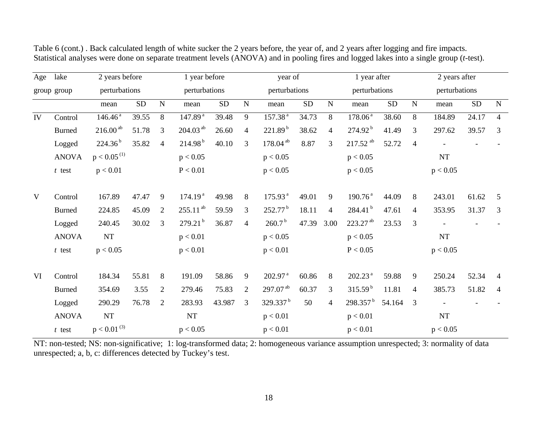| Age | lake          | 2 years before      |            |                | 1 year before          |            |                | year of               |            |                | 1 year after           |            |                | 2 years after |            |                |
|-----|---------------|---------------------|------------|----------------|------------------------|------------|----------------|-----------------------|------------|----------------|------------------------|------------|----------------|---------------|------------|----------------|
|     | group group   | perturbations       |            |                | perturbations          |            |                | perturbations         |            |                | perturbations          |            |                | perturbations |            |                |
|     |               | mean                | ${\rm SD}$ | ${\bf N}$      | mean                   | ${\rm SD}$ | $\mathbf N$    | mean                  | ${\rm SD}$ | ${\bf N}$      | mean                   | ${\rm SD}$ | $\mathbf N$    | mean          | ${\rm SD}$ | ${\bf N}$      |
| IV  | Control       | 146.46 <sup>a</sup> | 39.55      | 8              | 147.89 <sup>a</sup>    | 39.48      | 9              | 157.38 <sup>a</sup>   | 34.73      | 8              | 178.06 <sup>a</sup>    | 38.60      | $8\,$          | 184.89        | 24.17      | $\overline{4}$ |
|     | <b>Burned</b> | $216.00^{ab}$       | 51.78      | 3              | $204.03$ <sup>ab</sup> | 26.60      | $\overline{4}$ | 221.89 <sup>b</sup>   | 38.62      | $\overline{4}$ | $274.92^{b}$           | 41.49      | 3              | 297.62        | 39.57      | 3              |
|     | Logged        | 224.36 <sup>b</sup> | 35.82      | $\overline{4}$ | 214.98 <sup>b</sup>    | 40.10      | 3              | $178.04^{ab}$         | 8.87       | 3              | $217.52$ <sup>ab</sup> | 52.72      | $\overline{4}$ |               |            |                |
|     | <b>ANOVA</b>  | $p < 0.05^{\,(1)}$  |            |                | p < 0.05               |            |                | p < 0.05              |            |                | p < 0.05               |            |                | $\rm{NT}$     |            |                |
|     | $t$ test      | p < 0.01            |            |                | $\mathrm{P} < 0.01$    |            |                | p < 0.05              |            |                | p < 0.05               |            |                | p < 0.05      |            |                |
| V   | Control       | 167.89              | 47.47      | 9              | 174.19 <sup>a</sup>    | 49.98      | 8              | 175.93 <sup>a</sup>   | 49.01      | 9              | 190.76 <sup>a</sup>    | 44.09      | 8              | 243.01        | 61.62      | 5              |
|     | <b>Burned</b> | 224.85              | 45.09      | $\overline{2}$ | $255.11^{ab}$          | 59.59      | $\overline{3}$ | $252.77^{\mathrm{b}}$ | 18.11      | $\overline{4}$ | 284.41 <sup>b</sup>    | 47.61      | $\overline{4}$ | 353.95        | 31.37      | 3              |
|     | Logged        | 240.45              | 30.02      | 3              | 279.21 <sup>b</sup>    | 36.87      | $\overline{4}$ | 260.7 <sup>b</sup>    | 47.39      | 3.00           | 223.27 <sup>ab</sup>   | 23.53      | 3              |               |            |                |
|     | <b>ANOVA</b>  | $\rm{NT}$           |            |                | p < 0.01               |            |                | p < 0.05              |            |                | p < 0.05               |            |                | $\rm{NT}$     |            |                |
|     | $t$ test      | p < 0.05            |            |                | p < 0.01               |            |                | p < 0.01              |            |                | $\mathrm{P} < 0.05$    |            |                | p < 0.05      |            |                |
| VI  | Control       | 184.34              | 55.81      | 8              | 191.09                 | 58.86      | 9              | $202.97$ <sup>a</sup> | 60.86      | 8              | 202.23 <sup>a</sup>    | 59.88      | 9              | 250.24        | 52.34      | 4              |
|     | <b>Burned</b> | 354.69              | 3.55       | $\overline{2}$ | 279.46                 | 75.83      | $\mathbf{2}$   | $297.07^{ab}$         | 60.37      | 3              | 315.59 <sup>b</sup>    | 11.81      | $\overline{4}$ | 385.73        | 51.82      | $\overline{4}$ |
|     | Logged        | 290.29              | 76.78      | $\overline{2}$ | 283.93                 | 43.987     | 3              | 329.337 <sup>b</sup>  | 50         | $\overline{4}$ | $298.357^{\mathrm{b}}$ | 54.164     | 3              |               |            |                |
|     | <b>ANOVA</b>  | NT                  |            |                | $\rm{NT}$              |            |                | p < 0.01              |            |                | p < 0.01               |            |                | NT            |            |                |
|     | $t$ test      | $p < 0.01^{(3)}$    |            |                | p < 0.05               |            |                | p < 0.01              |            |                | p < 0.01               |            |                | p < 0.05      |            |                |

Table 6 (cont.) . Back calculated length of white sucker the 2 years before, the year of, and 2 years after logging and fire impacts. Statistical analyses were done on separate treatment levels (ANOVA) and in pooling fires and logged lakes into a single group (*t*-test).

NT: non-tested; NS: non-significative; 1: log-transformed data; 2: homogeneous variance assumption unrespected; 3: normality of data unrespected; a, b, c: differences detected by Tuckey's test.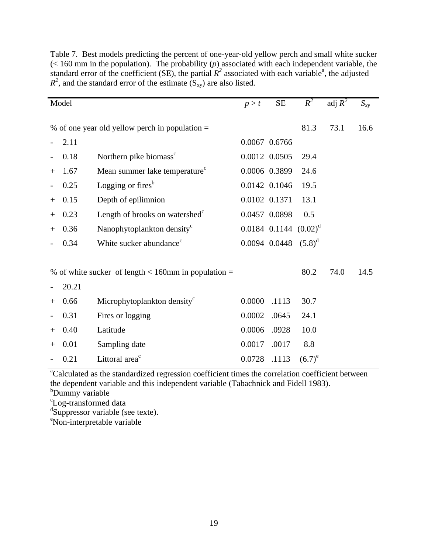|        | Model |                                                         | p > t  | $\rm SE$                    | $R^2$     | adj $\overline{R^2}$ | $S_{xy}$ |
|--------|-------|---------------------------------------------------------|--------|-----------------------------|-----------|----------------------|----------|
|        |       | % of one year old yellow perch in population $=$        |        |                             | 81.3      | 73.1                 | 16.6     |
|        | 2.11  |                                                         |        | 0.0067 0.6766               |           |                      |          |
|        | 0.18  | Northern pike biomass <sup>c</sup>                      |        | 0.0012 0.0505               | 29.4      |                      |          |
|        | 1.67  | Mean summer lake temperature <sup>c</sup>               |        | 0.0006 0.3899               | 24.6      |                      |          |
|        | 0.25  | Logging or fires $b$                                    |        | 0.0142 0.1046               | 19.5      |                      |          |
| $^+$   | 0.15  | Depth of epilimnion                                     |        | 0.0102 0.1371               | 13.1      |                      |          |
|        | 0.23  | Length of brooks on watershed <sup>c</sup>              |        | 0.0457 0.0898               | 0.5       |                      |          |
|        | 0.36  | Nanophytoplankton density <sup>c</sup>                  |        | $0.0184$ 0.1144 $(0.02)^d$  |           |                      |          |
|        | 0.34  | White sucker abundance <sup>c</sup>                     |        | $0.0094$ $0.0448$ $(5.8)^d$ |           |                      |          |
|        |       |                                                         |        |                             |           |                      |          |
|        |       | % of white sucker of length $<$ 160mm in population $=$ |        |                             | 80.2      | 74.0                 | 14.5     |
|        | 20.21 |                                                         |        |                             |           |                      |          |
| $\pm$  | 0.66  | Microphytoplankton density <sup>c</sup>                 | 0.0000 | .1113                       | 30.7      |                      |          |
|        | 0.31  | Fires or logging                                        | 0.0002 | .0645                       | 24.1      |                      |          |
| $^{+}$ | 0.40  | Latitude                                                | 0.0006 | .0928                       | 10.0      |                      |          |
| $^{+}$ | 0.01  | Sampling date                                           | 0.0017 | .0017                       | 8.8       |                      |          |
|        | 0.21  | Littoral area <sup>c</sup>                              | 0.0728 | .1113                       | $(6.7)^e$ |                      |          |

Table 7. Best models predicting the percent of one-year-old yellow perch and small white sucker  $\ll$  160 mm in the population). The probability *(p)* associated with each independent variable, the standard error of the coefficient (SE), the partial  $R^2$  associated with each variable<sup>a</sup>, the adjusted  $R^2$ , and the standard error of the estimate  $(S_{xy})$  are also listed.

<sup>a</sup>Calculated as the standardized regression coefficient times the correlation coefficient between the dependent variable and this independent variable (Tabachnick and Fidell 1983). <sup>b</sup>Dummy variable

c Log-transformed data

d Suppressor variable (see texte).

<sup>e</sup>Non-interpretable variable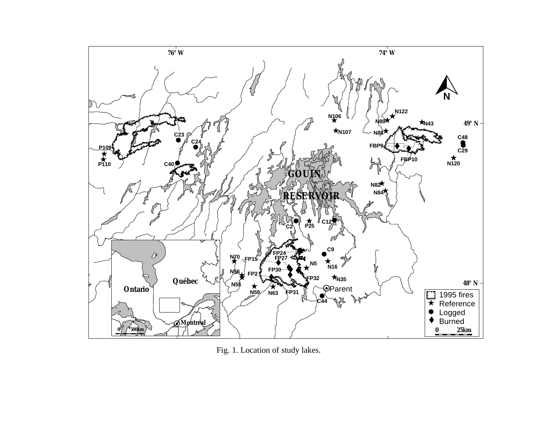

Fig. 1. Location of study lakes.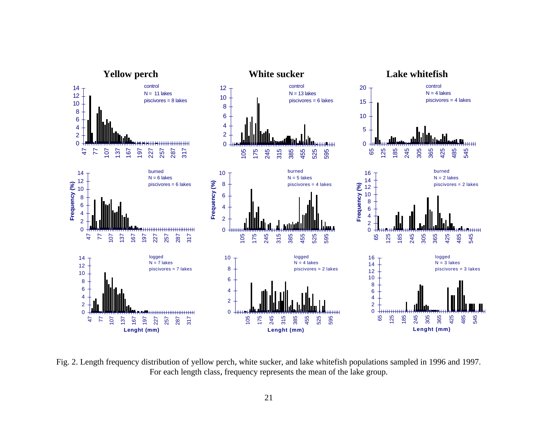

Fig. 2. Length frequency distribution of yellow perch, white sucker, and lake whitefish populations sampled in 1996 and 1997. For each length class, frequency represents the mean of the lake group.